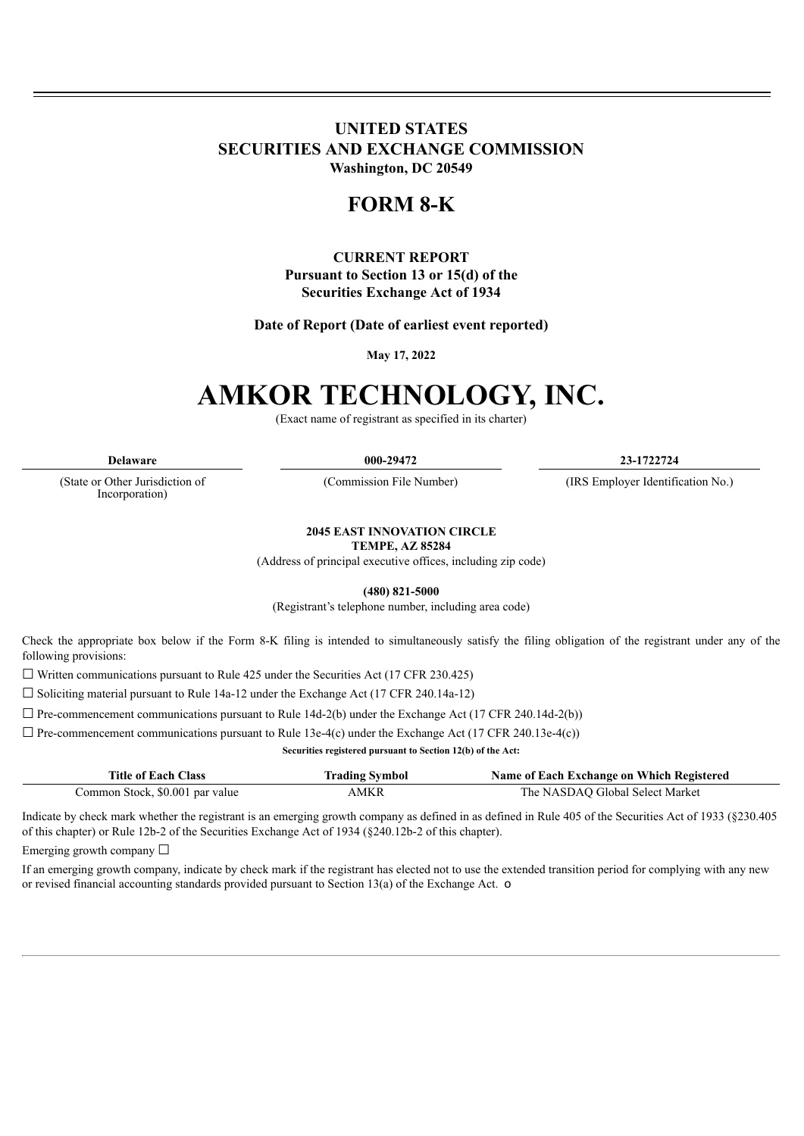### **UNITED STATES SECURITIES AND EXCHANGE COMMISSION Washington, DC 20549**

## **FORM 8-K**

### **CURRENT REPORT Pursuant to Section 13 or 15(d) of the Securities Exchange Act of 1934**

**Date of Report (Date of earliest event reported)**

**May 17, 2022**

# **AMKOR TECHNOLOGY, INC.**

(Exact name of registrant as specified in its charter)

(State or Other Jurisdiction of

Incorporation)

**Delaware 000-29472 23-1722724**

(Commission File Number) (IRS Employer Identification No.)

**2045 EAST INNOVATION CIRCLE TEMPE, AZ 85284**

(Address of principal executive offices, including zip code)

**(480) 821-5000**

(Registrant's telephone number, including area code)

Check the appropriate box below if the Form 8-K filing is intended to simultaneously satisfy the filing obligation of the registrant under any of the following provisions:

 $\Box$  Written communications pursuant to Rule 425 under the Securities Act (17 CFR 230.425)

☐ Soliciting material pursuant to Rule 14a-12 under the Exchange Act (17 CFR 240.14a-12)

 $\Box$  Pre-commencement communications pursuant to Rule 14d-2(b) under the Exchange Act (17 CFR 240.14d-2(b))

 $\Box$  Pre-commencement communications pursuant to Rule 13e-4(c) under the Exchange Act (17 CFR 240.13e-4(c))

**Securities registered pursuant to Section 12(b) of the Act:**

| <b>Title of Each Class</b>      | <b>Trading Symbol</b> | Name of Each Exchange on Which Registered |
|---------------------------------|-----------------------|-------------------------------------------|
| Common Stock, \$0.001 par value | AMKR                  | The NASDAO Global Select Market           |

Indicate by check mark whether the registrant is an emerging growth company as defined in as defined in Rule 405 of the Securities Act of 1933 (§230.405 of this chapter) or Rule 12b-2 of the Securities Exchange Act of 1934 (§240.12b-2 of this chapter).

Emerging growth company  $\Box$ 

If an emerging growth company, indicate by check mark if the registrant has elected not to use the extended transition period for complying with any new or revised financial accounting standards provided pursuant to Section 13(a) of the Exchange Act. o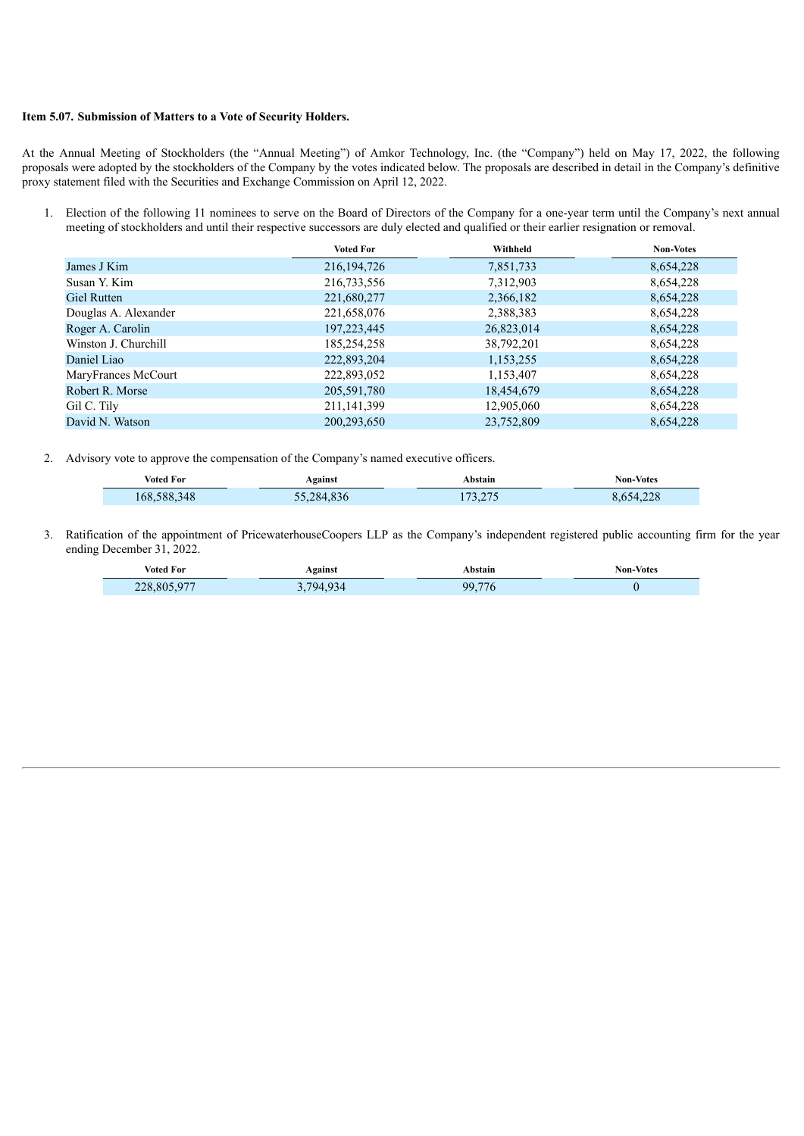#### **Item 5.07. Submission of Matters to a Vote of Security Holders.**

At the Annual Meeting of Stockholders (the "Annual Meeting") of Amkor Technology, Inc. (the "Company") held on May 17, 2022, the following proposals were adopted by the stockholders of the Company by the votes indicated below. The proposals are described in detail in the Company's definitive proxy statement filed with the Securities and Exchange Commission on April 12, 2022.

1. Election of the following 11 nominees to serve on the Board of Directors of the Company for a one-year term until the Company's next annual meeting of stockholders and until their respective successors are duly elected and qualified or their earlier resignation or removal.

|                      | <b>Voted For</b> | Withheld   | <b>Non-Votes</b> |
|----------------------|------------------|------------|------------------|
| James J Kim          | 216, 194, 726    | 7,851,733  | 8,654,228        |
| Susan Y. Kim         | 216,733,556      | 7,312,903  | 8,654,228        |
| <b>Giel Rutten</b>   | 221,680,277      | 2,366,182  | 8,654,228        |
| Douglas A. Alexander | 221,658,076      | 2,388,383  | 8,654,228        |
| Roger A. Carolin     | 197, 223, 445    | 26,823,014 | 8,654,228        |
| Winston J. Churchill | 185,254,258      | 38,792,201 | 8,654,228        |
| Daniel Liao          | 222,893,204      | 1,153,255  | 8,654,228        |
| MaryFrances McCourt  | 222,893,052      | 1,153,407  | 8,654,228        |
| Robert R. Morse      | 205,591,780      | 18,454,679 | 8,654,228        |
| Gil C. Tily          | 211, 141, 399    | 12,905,060 | 8,654,228        |
| David N. Watson      | 200,293,650      | 23,752,809 | 8,654,228        |

2. Advisory vote to approve the compensation of the Company's named executive officers.

| Voted For   | Against    | Abstain           | Non-Votes |
|-------------|------------|-------------------|-----------|
| 168,588,348 | 32,284,836 | 73.275<br>ر رے در | 8.654.228 |

3. Ratification of the appointment of PricewaterhouseCoopers LLP as the Company's independent registered public accounting firm for the year ending December 31, 2022.

| <b>Voted For</b> | Against | Abstain | <b>Non-Votes</b> |
|------------------|---------|---------|------------------|
| 228,805,977      | 1794934 | 99,776  |                  |